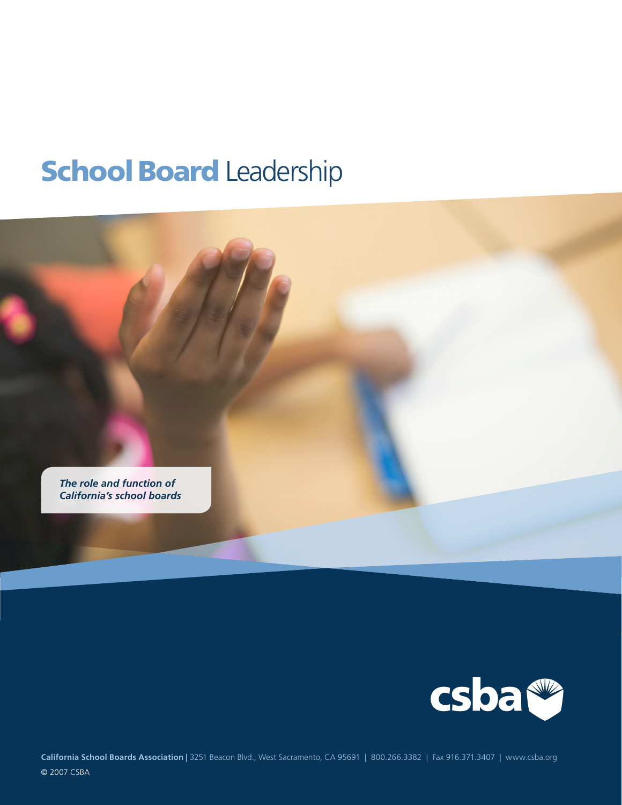# **School Board Leadership**





**California School Boards Association |** 3251 Beacon Blvd., West Sacramento, CA 95691 | 800.266.3382 | Fax 916.371.3407 | www.csba.org © 2007 CSBA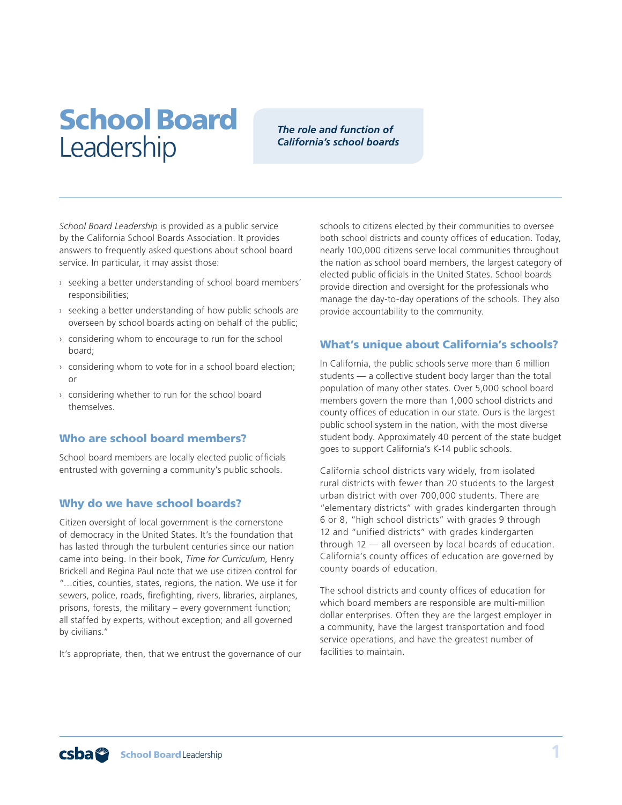## School Board **Leadership**

#### *The role and function of California's school boards*

*School Board Leadership* is provided as a public service by the California School Boards Association. It provides answers to frequently asked questions about school board service. In particular, it may assist those:

- › seeking a better understanding of school board members' responsibilities;
- $\rightarrow$  seeking a better understanding of how public schools are overseen by school boards acting on behalf of the public;
- $\rightarrow$  considering whom to encourage to run for the school board;
- $\rightarrow$  considering whom to vote for in a school board election; or
- › considering whether to run for the school board themselves.

#### Who are school board members?

School board members are locally elected public officials entrusted with governing a community's public schools.

#### Why do we have school boards?

Citizen oversight of local government is the cornerstone of democracy in the United States. It's the foundation that has lasted through the turbulent centuries since our nation came into being. In their book, *Time for Curriculum*, Henry Brickell and Regina Paul note that we use citizen control for "…cities, counties, states, regions, the nation. We use it for sewers, police, roads, firefighting, rivers, libraries, airplanes, prisons, forests, the military – every government function; all staffed by experts, without exception; and all governed by civilians."

It's appropriate, then, that we entrust the governance of our

schools to citizens elected by their communities to oversee both school districts and county offices of education. Today, nearly 100,000 citizens serve local communities throughout the nation as school board members, the largest category of elected public officials in the United States. School boards provide direction and oversight for the professionals who manage the day-to-day operations of the schools. They also provide accountability to the community.

#### What's unique about California's schools?

In California, the public schools serve more than 6 million students — a collective student body larger than the total population of many other states. Over 5,000 school board members govern the more than 1,000 school districts and county offices of education in our state. Ours is the largest public school system in the nation, with the most diverse student body. Approximately 40 percent of the state budget goes to support California's K-14 public schools.

California school districts vary widely, from isolated rural districts with fewer than 20 students to the largest urban district with over 700,000 students. There are "elementary districts" with grades kindergarten through 6 or 8, "high school districts" with grades 9 through 12 and "unified districts" with grades kindergarten through 12 — all overseen by local boards of education. California's county offices of education are governed by county boards of education.

The school districts and county offices of education for which board members are responsible are multi-million dollar enterprises. Often they are the largest employer in a community, have the largest transportation and food service operations, and have the greatest number of facilities to maintain.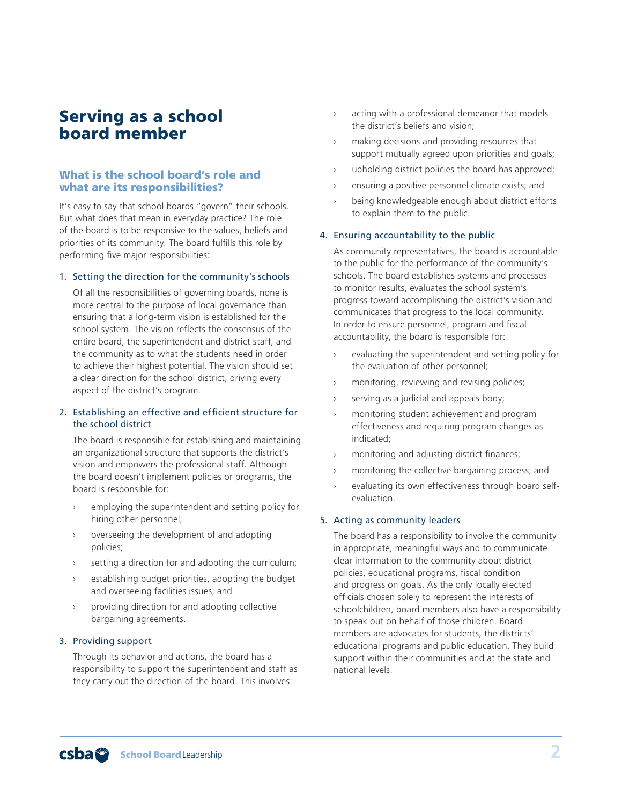## Serving as a school board member

#### What is the school board's role and what are its responsibilities?

It's easy to say that school boards "govern" their schools. But what does that mean in everyday practice? The role of the board is to be responsive to the values, beliefs and priorities of its community. The board fulfills this role by performing five major responsibilities:

#### 1. Setting the direction for the community's schools

Of all the responsibilities of governing boards, none is more central to the purpose of local governance than ensuring that a long-term vision is established for the school system. The vision reflects the consensus of the entire board, the superintendent and district staff, and the community as to what the students need in order to achieve their highest potential. The vision should set a clear direction for the school district, driving every aspect of the district's program.

#### 2. Establishing an effective and efficient structure for the school district

The board is responsible for establishing and maintaining an organizational structure that supports the district's vision and empowers the professional staff. Although the board doesn't implement policies or programs, the board is responsible for:

- employing the superintendent and setting policy for hiring other personnel;
- overseeing the development of and adopting policies;
- setting a direction for and adopting the curriculum;
- establishing budget priorities, adopting the budget and overseeing facilities issues; and
- providing direction for and adopting collective bargaining agreements.

#### 3. Providing support

Through its behavior and actions, the board has a responsibility to support the superintendent and staff as they carry out the direction of the board. This involves:

- › acting with a professional demeanor that models the district's beliefs and vision;
- making decisions and providing resources that support mutually agreed upon priorities and goals;
- upholding district policies the board has approved;
- ensuring a positive personnel climate exists; and
- being knowledgeable enough about district efforts to explain them to the public.

#### 4. Ensuring accountability to the public

As community representatives, the board is accountable to the public for the performance of the community's schools. The board establishes systems and processes to monitor results, evaluates the school system's progress toward accomplishing the district's vision and communicates that progress to the local community. In order to ensure personnel, program and fiscal accountability, the board is responsible for:

- evaluating the superintendent and setting policy for the evaluation of other personnel;
- › monitoring, reviewing and revising policies;
- › serving as a judicial and appeals body;
- › monitoring student achievement and program effectiveness and requiring program changes as indicated;
- monitoring and adjusting district finances;
- monitoring the collective bargaining process; and
- evaluating its own effectiveness through board selfevaluation.

#### 5. Acting as community leaders

The board has a responsibility to involve the community in appropriate, meaningful ways and to communicate clear information to the community about district policies, educational programs, fiscal condition and progress on goals. As the only locally elected officials chosen solely to represent the interests of schoolchildren, board members also have a responsibility to speak out on behalf of those children. Board members are advocates for students, the districts' educational programs and public education. They build support within their communities and at the state and national levels.

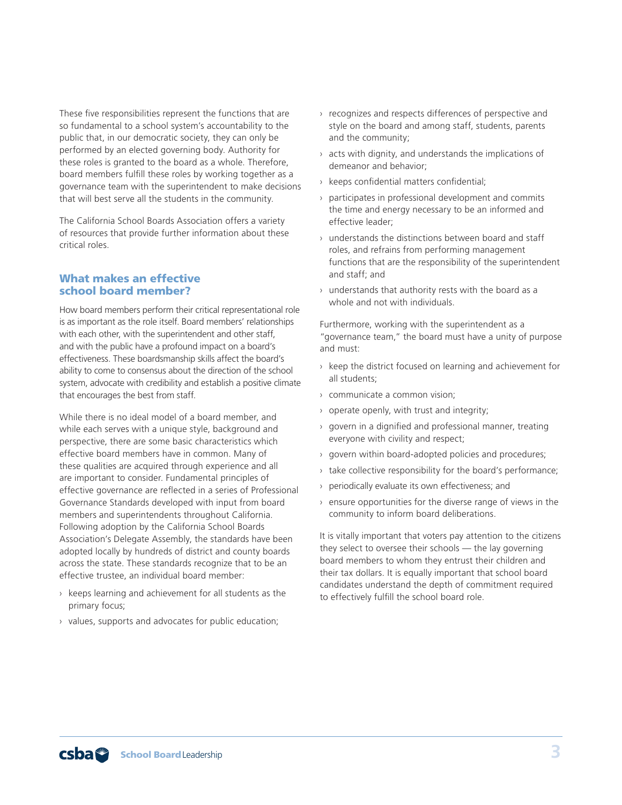These five responsibilities represent the functions that are so fundamental to a school system's accountability to the public that, in our democratic society, they can only be performed by an elected governing body. Authority for these roles is granted to the board as a whole. Therefore, board members fulfill these roles by working together as a governance team with the superintendent to make decisions that will best serve all the students in the community.

The California School Boards Association offers a variety of resources that provide further information about these critical roles.

#### What makes an effective school board member?

How board members perform their critical representational role is as important as the role itself. Board members' relationships with each other, with the superintendent and other staff, and with the public have a profound impact on a board's effectiveness. These boardsmanship skills affect the board's ability to come to consensus about the direction of the school system, advocate with credibility and establish a positive climate that encourages the best from staff.

While there is no ideal model of a board member, and while each serves with a unique style, background and perspective, there are some basic characteristics which effective board members have in common. Many of these qualities are acquired through experience and all are important to consider. Fundamental principles of effective governance are reflected in a series of Professional Governance Standards developed with input from board members and superintendents throughout California. Following adoption by the California School Boards Association's Delegate Assembly, the standards have been adopted locally by hundreds of district and county boards across the state. These standards recognize that to be an effective trustee, an individual board member:

- $\rightarrow$  keeps learning and achievement for all students as the primary focus;
- › values, supports and advocates for public education;
- › recognizes and respects differences of perspective and style on the board and among staff, students, parents and the community;
- $\rightarrow$  acts with dignity, and understands the implications of demeanor and behavior;
- › keeps confidential matters confidential;
- › participates in professional development and commits the time and energy necessary to be an informed and effective leader;
- › understands the distinctions between board and staff roles, and refrains from performing management functions that are the responsibility of the superintendent and staff; and
- › understands that authority rests with the board as a whole and not with individuals.

Furthermore, working with the superintendent as a "governance team," the board must have a unity of purpose and must:

- $\rightarrow$  keep the district focused on learning and achievement for all students;
- › communicate a common vision;
- › operate openly, with trust and integrity;
- › govern in a dignified and professional manner, treating everyone with civility and respect;
- › govern within board-adopted policies and procedures;
- › take collective responsibility for the board's performance;
- › periodically evaluate its own effectiveness; and
- $\rightarrow$  ensure opportunities for the diverse range of views in the community to inform board deliberations.

It is vitally important that voters pay attention to the citizens they select to oversee their schools — the lay governing board members to whom they entrust their children and their tax dollars. It is equally important that school board candidates understand the depth of commitment required to effectively fulfill the school board role.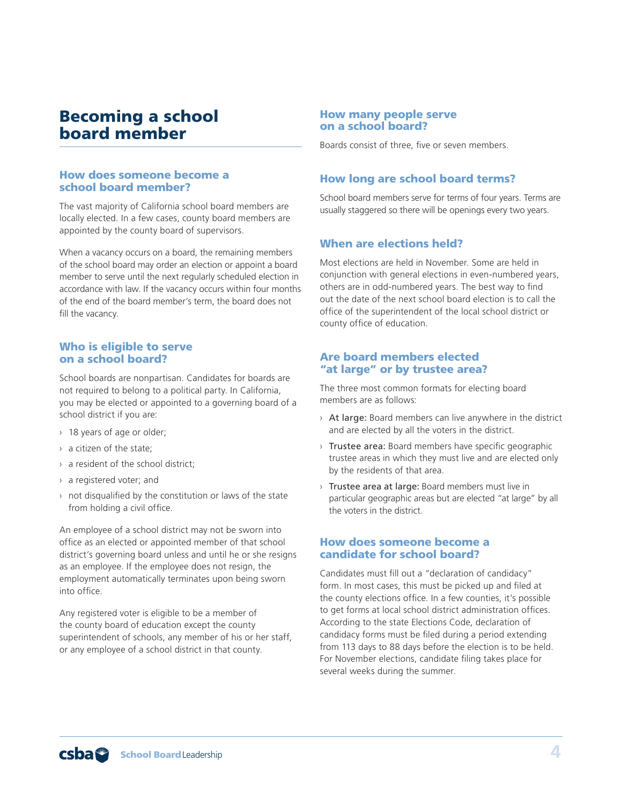## Becoming a school board member

#### How does someone become a school board member?

The vast majority of California school board members are locally elected. In a few cases, county board members are appointed by the county board of supervisors.

When a vacancy occurs on a board, the remaining members of the school board may order an election or appoint a board member to serve until the next regularly scheduled election in accordance with law. If the vacancy occurs within four months of the end of the board member's term, the board does not fill the vacancy.

#### Who is eligible to serve on a school board?

School boards are nonpartisan. Candidates for boards are not required to belong to a political party. In California, you may be elected or appointed to a governing board of a school district if you are:

- › 18 years of age or older;
- › a citizen of the state;
- › a resident of the school district;
- › a registered voter; and
- $\rightarrow$  not disqualified by the constitution or laws of the state from holding a civil office.

An employee of a school district may not be sworn into office as an elected or appointed member of that school district's governing board unless and until he or she resigns as an employee. If the employee does not resign, the employment automatically terminates upon being sworn into office.

Any registered voter is eligible to be a member of the county board of education except the county superintendent of schools, any member of his or her staff, or any employee of a school district in that county.

#### How many people serve on a school board?

Boards consist of three, five or seven members.

#### How long are school board terms?

School board members serve for terms of four years. Terms are usually staggered so there will be openings every two years.

#### When are elections held?

Most elections are held in November. Some are held in conjunction with general elections in even-numbered years, others are in odd-numbered years. The best way to find out the date of the next school board election is to call the office of the superintendent of the local school district or county office of education.

#### Are board members elected "at large" or by trustee area?

The three most common formats for electing board members are as follows:

- $\rightarrow$  At large: Board members can live anywhere in the district and are elected by all the voters in the district.
- › Trustee area: Board members have specific geographic trustee areas in which they must live and are elected only by the residents of that area.
- › Trustee area at large: Board members must live in particular geographic areas but are elected "at large" by all the voters in the district.

#### How does someone become a candidate for school board?

Candidates must fill out a "declaration of candidacy" form. In most cases, this must be picked up and filed at the county elections office. In a few counties, it's possible to get forms at local school district administration offices. According to the state Elections Code, declaration of candidacy forms must be filed during a period extending from 113 days to 88 days before the election is to be held. For November elections, candidate filing takes place for several weeks during the summer.